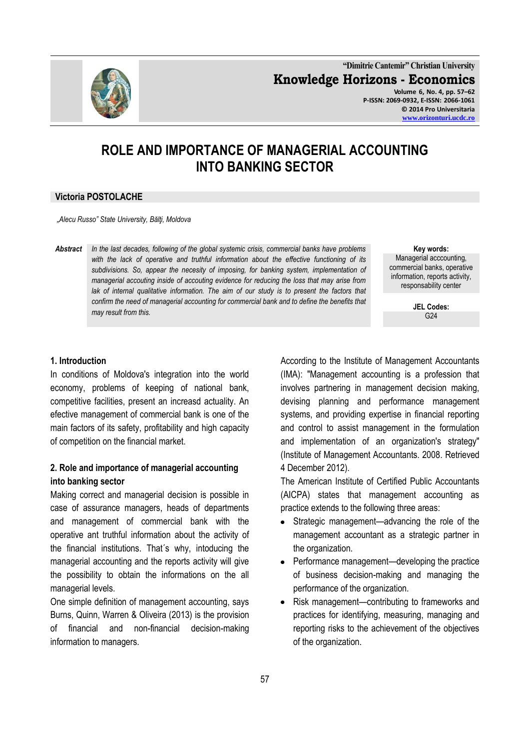

**"Dimitrie Cantemir" Christian University Knowledge Horizons - Economics Volume 6, No. 4, pp. 57–62 P-ISSN: 2069-0932, E-ISSN: 2066-1061 © 2014 Pro Universitaria [www.orizonturi.ucdc.ro](http://www.orizonturi.ucdc.ro/)**

# **ROLE AND IMPORTANCE OF MANAGERIAL ACCOUNTING INTO BANKING SECTOR**

#### **Victoria POSTOLACHE**

*"Alecu Russo" State University, Bălţi, Moldova*

*Abstract In the last decades, following of the global systemic crisis, commercial banks have problems with the lack of operative and truthful information about the effective functioning of its subdivisions. So, appear the necesity of imposing, for banking system, implementation of managerial accouting inside of accouting evidence for reducing the loss that may arise from*  lak of internal qualitative information. The aim of our study is to present the factors that *confirm the need of managerial accounting for commercial bank and to define the benefits that may result from this.* 

**Key words:** Managerial acccounting, commercial banks, operative information, reports activity, responsability center

> **JEL Codes:**  $G<sub>24</sub>$

#### **1. Introduction**

In conditions of Moldova's integration into the world economy, problems of keeping of national bank, competitive facilities, present an increasd actuality. An efective management of commercial bank is one of the main factors of its safety, profitability and high capacity of competition on the financial market.

### **2. Role and importance of managerial accounting into banking sector**

Making correct and managerial decision is possible in case of assurance managers, heads of departments and management of commercial bank with the operative ant truthful information about the activity of the financial institutions. That´s why, intoducing the managerial accounting and the reports activity will give the possibility to obtain the informations on the all managerial levels.

One simple definition of management accounting, says Burns, Quinn, Warren & Oliveira (2013) is the provision of financial and non-financial decision-making information to managers.

According to the [Institute of Management Accountants](http://en.wikipedia.org/wiki/Institute_of_Management_Accountants) (IMA): "Management accounting is a profession that involves partnering in management decision making, devising planning and performance management systems, and providing expertise in financial reporting and control to assist management in the formulation and implementation of an organization's strategy" (Institute of Management Accountants. 2008. Retrieved 4 December 2012).

The American Institute of Certified Public Accountants (AICPA) states that management accounting as practice extends to the following three areas:

- Strategic management—advancing the role of the management accountant as a strategic partner in the organization.
- Performance management—developing the practice of business decision-making and managing the performance of the organization.
- Risk management—contributing to frameworks and practices for identifying, measuring, managing and reporting risks to the achievement of the objectives of the organization.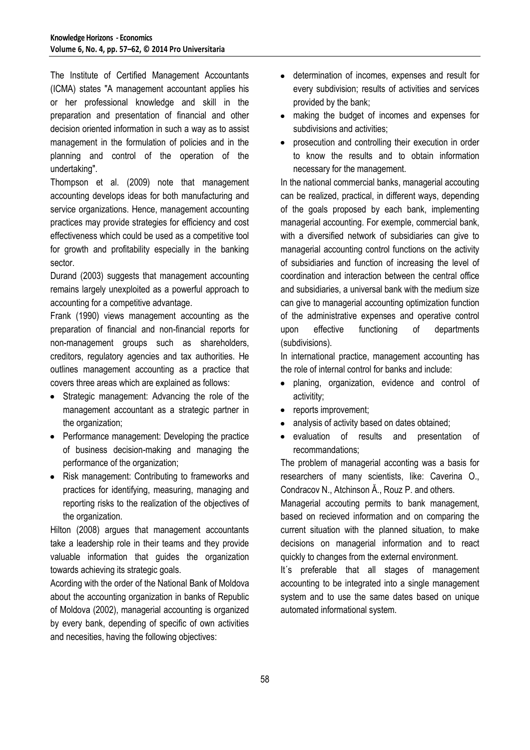The Institute of Certified Management Accountants (ICMA) states "A management accountant applies his or her professional knowledge and skill in the preparation and presentation of financial and other decision oriented information in such a way as to assist management in the formulation of policies and in the planning and control of the operation of the undertaking".

Thompson et al. (2009) note that management accounting develops ideas for both manufacturing and service organizations. Hence, management accounting practices may provide strategies for efficiency and cost effectiveness which could be used as a competitive tool for growth and profitability especially in the banking sector.

Durand (2003) suggests that management accounting remains largely unexploited as a powerful approach to accounting for a competitive advantage.

Frank (1990) views management accounting as the preparation of financial and non-financial reports for non-management groups such as shareholders, creditors, regulatory agencies and tax authorities. He outlines management accounting as a practice that covers three areas which are explained as follows:

- Strategic management: Advancing the role of the management accountant as a strategic partner in the organization;
- Performance management: Developing the practice of business decision-making and managing the performance of the organization;
- Risk management: Contributing to frameworks and practices for identifying, measuring, managing and reporting risks to the realization of the objectives of the organization.

Hilton (2008) argues that management accountants take a leadership role in their teams and they provide valuable information that guides the organization towards achieving its strategic goals.

Acording with the order of the National Bank of Moldova about the accounting organization in banks of Republic of Moldova (2002), managerial accounting is organized by every bank, depending of specific of own activities and necesities, having the following objectives:

- determination of incomes, expenses and result for every subdivision; results of activities and services provided by the bank;
- making the budget of incomes and expenses for subdivisions and activities;
- prosecution and controlling their execution in order to know the results and to obtain information necessary for the management.

In the national commercial banks, managerial accouting can be realized, practical, in different ways, depending of the goals proposed by each bank, implementing managerial accounting. For exemple, commercial bank, with a diversified network of subsidiaries can give to managerial accounting control functions on the activity of subsidiaries and function of increasing the level of coordination and interaction between the central office and subsidiaries, a universal bank with the medium size can give to managerial accounting optimization function of the administrative expenses and operative control upon effective functioning of departments (subdivisions).

In international practice, management accounting has the role of internal control for banks and include:

- planing, organization, evidence and control of activitity;
- reports improvement:
- analysis of activity based on dates obtained;
- evaluation of results and presentation of recommandations;

The problem of managerial acconting was a basis for researchers of many scientists, like: Caverina O., Condracov N., Atchinson Ă., Rouz P. and others.

Managerial accouting permits to bank management, based on recieved information and on comparing the current situation with the planned situation, to make decisions on managerial information and to react quickly to changes from the external environment.

It´s preferable that all stages of management accounting to be integrated into a single management system and to use the same dates based on unique automated informational system.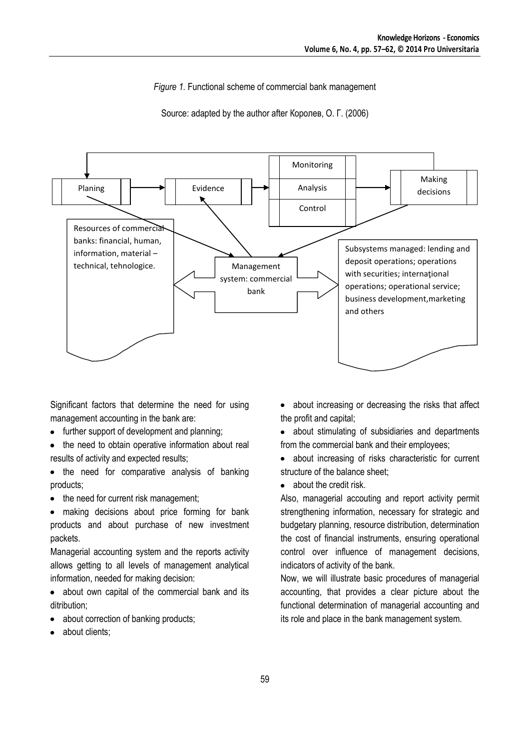*Figure 1.* Functional scheme of commercial bank management

Source: adapted by the author after Королев, О. Г. (2006)



Significant factors that determine the need for using management accounting in the bank are:

- further support of development and planning;
- the need to obtain operative information about real  $\bullet$ results of activity and expected results;
- the need for comparative analysis of banking products;
- the need for current risk management;  $\bullet$

making decisions about price forming for bank products and about purchase of new investment packets.

Managerial accounting system and the reports activity allows getting to all levels of management analytical information, needed for making decision:

• about own capital of the commercial bank and its ditribution:

- about correction of banking products;
- about clients;
- about increasing or decreasing the risks that affect the profit and capital;
- about stimulating of subsidiaries and departments from the commercial bank and their employees;
- about increasing of risks characteristic for current  $\bullet$ structure of the balance sheet;
- about the credit risk

Also, managerial accouting and report activity permit strengthening information, necessary for strategic and budgetary planning, resource distribution, determination the cost of financial instruments, ensuring operational control over influence of management decisions, indicators of activity of the bank.

Now, we will illustrate basic procedures of managerial accounting, that provides a clear picture about the functional determination of managerial accounting and its role and place in the bank management system.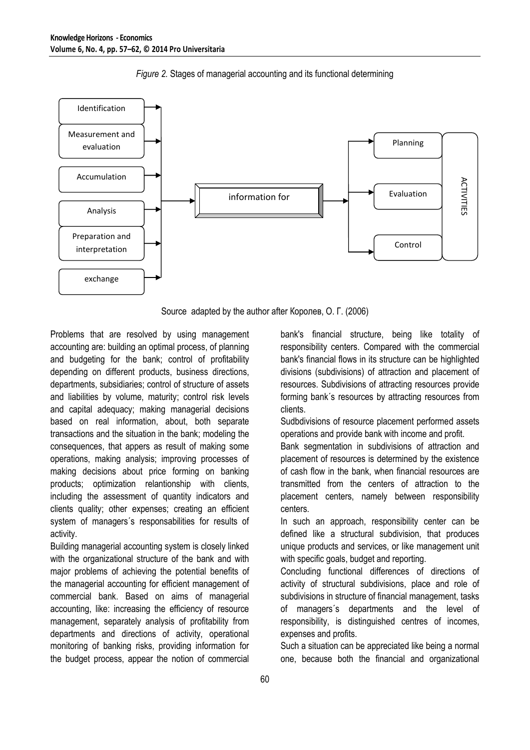



Source adapted by the author after Королев, О. Г. (2006)

Problems that are resolved by using management accounting are: building an optimal process, of planning and budgeting for the bank; control of profitability depending on different products, business directions, departments, subsidiaries; control of structure of assets and liabilities by volume, maturity; control risk levels and capital adequacy; making managerial decisions based on real information, about, both separate transactions and the situation in the bank; modeling the consequences, that appers as result of making some operations, making analysis; improving processes of making decisions about price forming on banking products; optimization relantionship with clients, including the assessment of quantity indicators and clients quality; other expenses; creating an efficient system of managers´s responsabilities for results of activity.

Building managerial accounting system is closely linked with the organizational structure of the bank and with major problems of achieving the potential benefits of the managerial accounting for efficient management of commercial bank. Based on aims of managerial accounting, like: increasing the efficiency of resource management, separately analysis of profitability from departments and directions of activity, operational monitoring of banking risks, providing information for the budget process, appear the notion of commercial

bank's financial structure, being like totality of responsibility centers. Compared with the commercial bank's financial flows in its structure can be highlighted divisions (subdivisions) of attraction and placement of resources. Subdivisions of attracting resources provide forming bank´s resources by attracting resources from clients.

Sudbdivisions of resource placement performed assets operations and provide bank with income and profit.

Bank segmentation in subdivisions of attraction and placement of resources is determined by the existence of cash flow in the bank, when financial resources are transmitted from the centers of attraction to the placement centers, namely between responsibility centers.

In such an approach, responsibility center can be defined like a structural subdivision, that produces unique products and services, or like management unit with specific goals, budget and reporting.

Concluding functional differences of directions of activity of structural subdivisions, place and role of subdivisions in structure of financial management, tasks of managers´s departments and the level of responsibility, is distinguished centres of incomes, expenses and profits.

Such a situation can be appreciated like being a normal one, because both the financial and organizational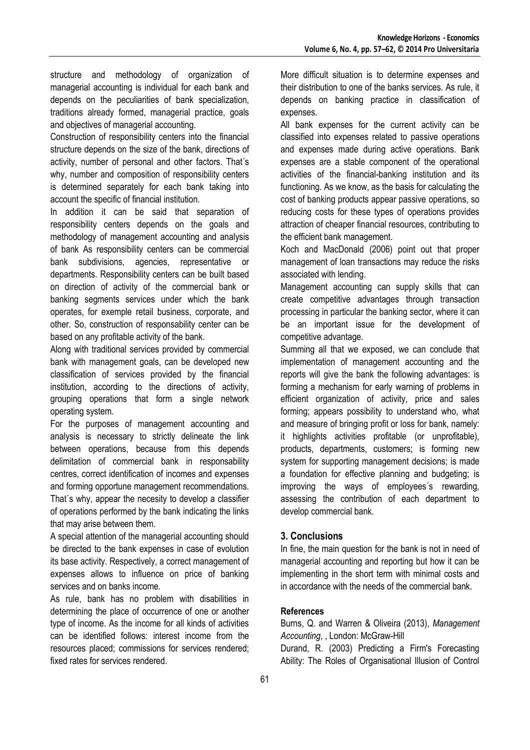structure and methodology of organization of managerial accounting is individual for each bank and depends on the peculiarities of bank specialization, traditions already formed, managerial practice, goals and objectives of managerial accounting.

Construction of responsibility centers into the financial structure depends on the size of the bank, directions of activity, number of personal and other factors. That´s why, number and composition of responsibility centers is determined separately for each bank taking into account the specific of financial institution.

In addition it can be said that separation of responsibility centers depends on the goals and methodology of management accounting and analysis of bank As responsibility centers can be commercial bank subdivisions, agencies, representative or departments. Responsibility centers can be built based on direction of activity of the commercial bank or banking segments services under which the bank operates, for exemple retail business, corporate, and other. So, construction of responsability center can be based on any profitable activity of the bank.

Along with traditional services provided by commercial bank with management goals, can be developed new classification of services provided by the financial institution, according to the directions of activity, grouping operations that form a single network operating system.

For the purposes of management accounting and analysis is necessary to strictly delineate the link between operations, because from this depends delimitation of commercial bank in responsability centres, correct identification of incomes and expenses and forming opportune management recommendations. That´s why, appear the necesity to develop a classifier of operations performed by the bank indicating the links that may arise between them.

A special attention of the managerial accounting should be directed to the bank expenses in case of evolution its base activity. Respectively, a correct management of expenses allows to influence on price of banking services and on banks income.

As rule, bank has no problem with disabilities in determining the place of occurrence of one or another type of income. As the income for all kinds of activities can be identified follows: interest income from the resources placed; commissions for services rendered; fixed rates for services rendered.

More difficult situation is to determine expenses and their distribution to one of the banks services. As rule, it depends on banking practice in classification of expenses.

All bank expenses for the current activity can be classified into expenses related to passive operations and expenses made during active operations. Bank expenses are a stable component of the operational activities of the financial-banking institution and its functioning. As we know, as the basis for calculating the cost of banking products appear passive operations, so reducing costs for these types of operations provides attraction of cheaper financial resources, contributing to the efficient bank management.

Koch and MacDonald (2006) point out that proper management of loan transactions may reduce the risks associated with lending.

Management accounting can supply skills that can create competitive advantages through transaction processing in particular the banking sector, where it can be an important issue for the development of competitive advantage.

Summing all that we exposed, we can conclude that implementation of management accounting and the reports will give the bank the following advantages: is forming a mechanism for early warning of problems in efficient organization of activity, price and sales forming; appears possibility to understand who, what and measure of bringing profit or loss for bank, namely: it highlights activities profitable (or unprofitable), products, departments, customers; is forming new system for supporting management decisions; is made a foundation for effective planning and budgeting; is improving the ways of employees´s rewarding, assessing the contribution of each department to develop commercial bank.

# **3. Conclusions**

In fine, the main question for the bank is not in need of managerial accounting and reporting but how it can be implementing in the short term with minimal costs and in accordance with the needs of the commercial bank.

# **References**

Burns, Q. and Warren & Oliveira (2013), *Management Accounting*, , London: McGraw-Hill

Durand, R. (2003) Predicting a Firm's Forecasting Ability: The Roles of Organisational Illusion of Control